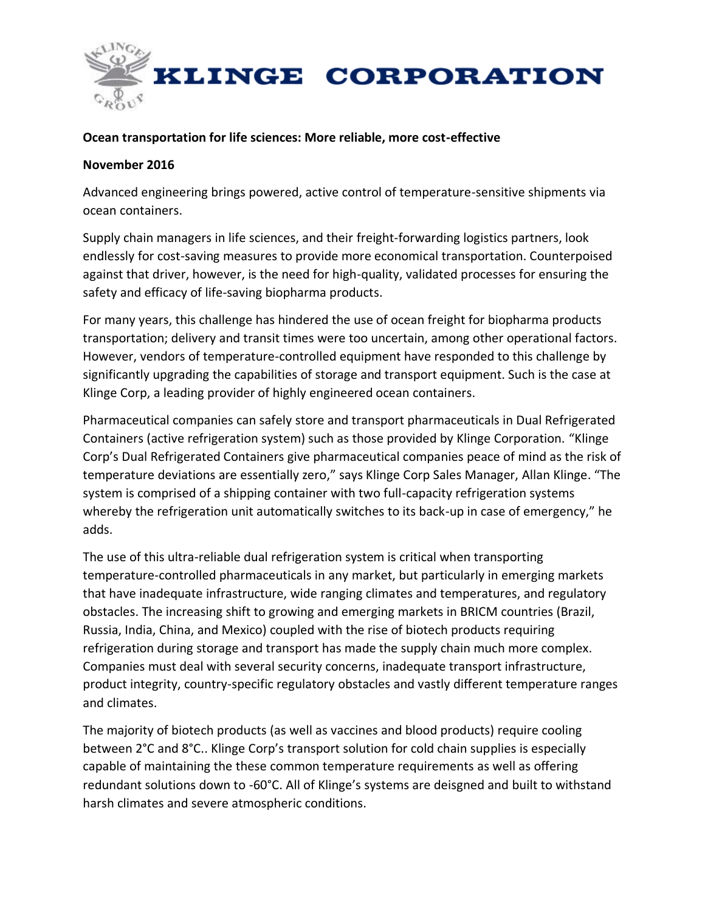

### **Ocean transportation for life sciences: More reliable, more cost-effective**

### **November 2016**

Advanced engineering brings powered, active control of temperature-sensitive shipments via ocean containers.

Supply chain managers in life sciences, and their freight-forwarding logistics partners, look endlessly for cost-saving measures to provide more economical transportation. Counterpoised against that driver, however, is the need for high-quality, validated processes for ensuring the safety and efficacy of life-saving biopharma products.

For many years, this challenge has hindered the use of ocean freight for biopharma products transportation; delivery and transit times were too uncertain, among other operational factors. However, vendors of temperature-controlled equipment have responded to this challenge by significantly upgrading the capabilities of storage and transport equipment. Such is the case at Klinge Corp, a leading provider of highly engineered ocean containers.

Pharmaceutical companies can safely store and transport pharmaceuticals in Dual Refrigerated Containers (active refrigeration system) such as those provided by Klinge Corporation. "Klinge Corp's Dual Refrigerated Containers give pharmaceutical companies peace of mind as the risk of temperature deviations are essentially zero," says Klinge Corp Sales Manager, Allan Klinge. "The system is comprised of a shipping container with two full-capacity refrigeration systems whereby the refrigeration unit automatically switches to its back-up in case of emergency," he adds.

The use of this ultra-reliable dual refrigeration system is critical when transporting temperature-controlled pharmaceuticals in any market, but particularly in emerging markets that have inadequate infrastructure, wide ranging climates and temperatures, and regulatory obstacles. The increasing shift to growing and emerging markets in BRICM countries (Brazil, Russia, India, China, and Mexico) coupled with the rise of biotech products requiring refrigeration during storage and transport has made the supply chain much more complex. Companies must deal with several security concerns, inadequate transport infrastructure, product integrity, country-specific regulatory obstacles and vastly different temperature ranges and climates.

The majority of biotech products (as well as vaccines and blood products) require cooling between 2°C and 8°C.. Klinge Corp's transport solution for cold chain supplies is especially capable of maintaining the these common temperature requirements as well as offering redundant solutions down to -60°C. All of Klinge's systems are deisgned and built to withstand harsh climates and severe atmospheric conditions.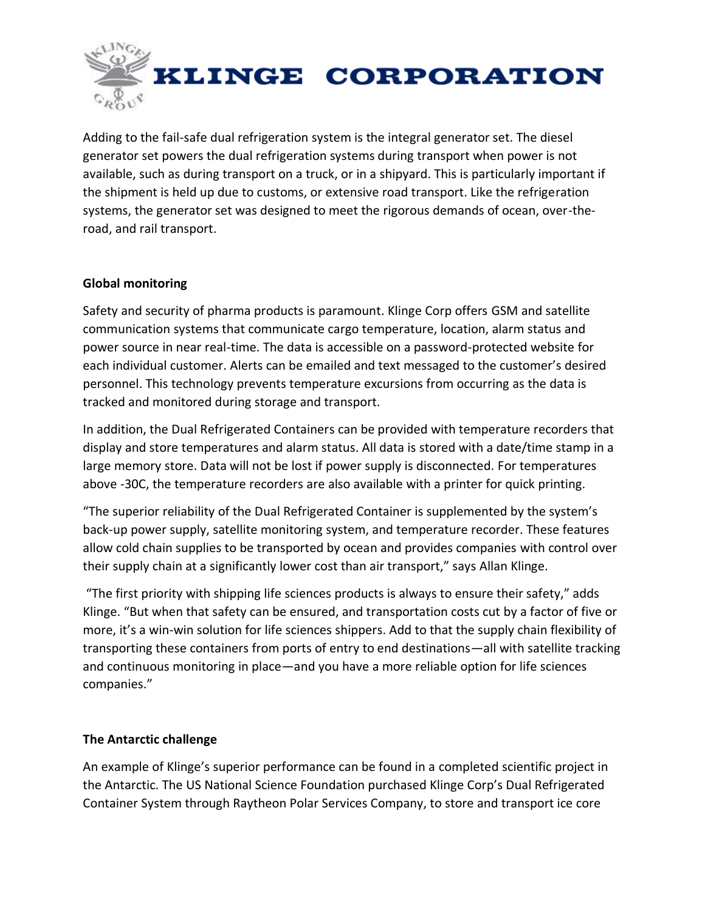

Adding to the fail-safe dual refrigeration system is the integral generator set. The diesel generator set powers the dual refrigeration systems during transport when power is not available, such as during transport on a truck, or in a shipyard. This is particularly important if the shipment is held up due to customs, or extensive road transport. Like the refrigeration systems, the generator set was designed to meet the rigorous demands of ocean, over-theroad, and rail transport.

# **Global monitoring**

Safety and security of pharma products is paramount. Klinge Corp offers GSM and satellite communication systems that communicate cargo temperature, location, alarm status and power source in near real-time. The data is accessible on a password-protected website for each individual customer. Alerts can be emailed and text messaged to the customer's desired personnel. This technology prevents temperature excursions from occurring as the data is tracked and monitored during storage and transport.

In addition, the Dual Refrigerated Containers can be provided with temperature recorders that display and store temperatures and alarm status. All data is stored with a date/time stamp in a large memory store. Data will not be lost if power supply is disconnected. For temperatures above -30C, the temperature recorders are also available with a printer for quick printing.

"The superior reliability of the Dual Refrigerated Container is supplemented by the system's back-up power supply, satellite monitoring system, and temperature recorder. These features allow cold chain supplies to be transported by ocean and provides companies with control over their supply chain at a significantly lower cost than air transport," says Allan Klinge.

"The first priority with shipping life sciences products is always to ensure their safety," adds Klinge. "But when that safety can be ensured, and transportation costs cut by a factor of five or more, it's a win-win solution for life sciences shippers. Add to that the supply chain flexibility of transporting these containers from ports of entry to end destinations—all with satellite tracking and continuous monitoring in place—and you have a more reliable option for life sciences companies."

# **The Antarctic challenge**

An example of Klinge's superior performance can be found in a completed scientific project in the Antarctic. The US National Science Foundation purchased Klinge Corp's Dual Refrigerated Container System through Raytheon Polar Services Company, to store and transport ice core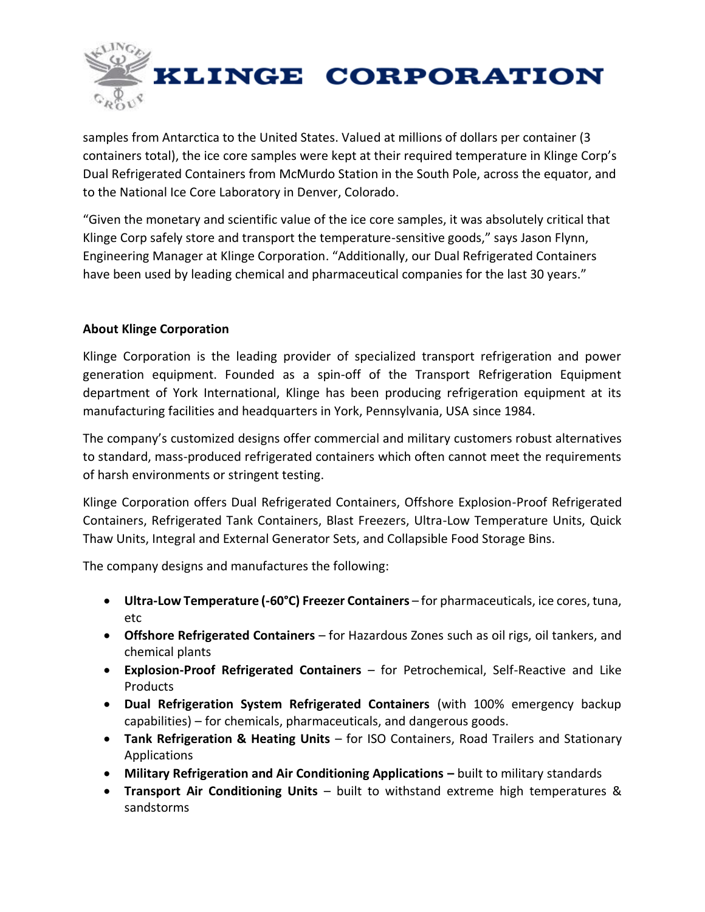

samples from Antarctica to the United States. Valued at millions of dollars per container (3 containers total), the ice core samples were kept at their required temperature in Klinge Corp's Dual Refrigerated Containers from McMurdo Station in the South Pole, across the equator, and to the National Ice Core Laboratory in Denver, Colorado.

"Given the monetary and scientific value of the ice core samples, it was absolutely critical that Klinge Corp safely store and transport the temperature-sensitive goods," says Jason Flynn, Engineering Manager at Klinge Corporation. "Additionally, our Dual Refrigerated Containers have been used by leading chemical and pharmaceutical companies for the last 30 years."

# **About Klinge Corporation**

Klinge Corporation is the leading provider of specialized transport refrigeration and power generation equipment. Founded as a spin-off of the Transport Refrigeration Equipment department of York International, Klinge has been producing refrigeration equipment at its manufacturing facilities and headquarters in York, Pennsylvania, USA since 1984.

The company's customized designs offer commercial and military customers robust alternatives to standard, mass-produced refrigerated containers which often cannot meet the requirements of harsh environments or stringent testing.

Klinge Corporation offers Dual Refrigerated Containers, Offshore Explosion-Proof Refrigerated Containers, Refrigerated Tank Containers, Blast Freezers, Ultra-Low Temperature Units, Quick Thaw Units, Integral and External Generator Sets, and Collapsible Food Storage Bins.

The company designs and manufactures the following:

- **Ultra-Low Temperature (-60°C) Freezer Containers** for pharmaceuticals, ice cores, tuna, etc
- **Offshore Refrigerated Containers** for Hazardous Zones such as oil rigs, oil tankers, and chemical plants
- **Explosion-Proof Refrigerated Containers** for Petrochemical, Self-Reactive and Like Products
- **Dual Refrigeration System Refrigerated Containers** (with 100% emergency backup capabilities) – for chemicals, pharmaceuticals, and dangerous goods.
- **Tank Refrigeration & Heating Units** for ISO Containers, Road Trailers and Stationary Applications
- **Military Refrigeration and Air Conditioning Applications built to military standards**
- **Transport Air Conditioning Units** built to withstand extreme high temperatures & sandstorms